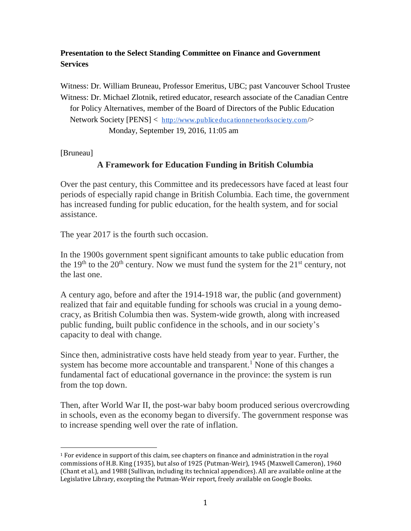## **Presentation to the Select Standing Committee on Finance and Government Services**

Witness: Dr. William Bruneau, Professor Emeritus, UBC; past Vancouver School Trustee Witness: Dr. Michael Zlotnik, retired educator, research associate of the Canadian Centre for Policy Alternatives, member of the Board of Directors of the Public Education Network Society [PENS] < <http://www.publiceducationnetworksociety.com/>> Monday, September 19, 2016, 11:05 am

[Bruneau]

 $\overline{\phantom{a}}$ 

# **A Framework for Education Funding in British Columbia**

Over the past century, this Committee and its predecessors have faced at least four periods of especially rapid change in British Columbia. Each time, the government has increased funding for public education, for the health system, and for social assistance.

The year 2017 is the fourth such occasion.

In the 1900s government spent significant amounts to take public education from the 19<sup>th</sup> to the 20<sup>th</sup> century. Now we must fund the system for the  $21<sup>st</sup>$  century, not the last one.

A century ago, before and after the 1914-1918 war, the public (and government) realized that fair and equitable funding for schools was crucial in a young democracy, as British Columbia then was. System-wide growth, along with increased public funding, built public confidence in the schools, and in our society's capacity to deal with change.

Since then, administrative costs have held steady from year to year. Further, the system has become more accountable and transparent. <sup>1</sup> None of this changes a fundamental fact of educational governance in the province: the system is run from the top down.

Then, after World War II, the post-war baby boom produced serious overcrowding in schools, even as the economy began to diversify. The government response was to increase spending well over the rate of inflation.

<sup>1</sup> For evidence in support of this claim, see chapters on finance and administration in the royal commissions of H.B. King (1935), but also of 1925 (Putman-Weir), 1945 (Maxwell Cameron), 1960 (Chant et al.), and 1988 (Sullivan, including its technical appendices). All are available online at the Legislative Library, excepting the Putman-Weir report, freely available on Google Books.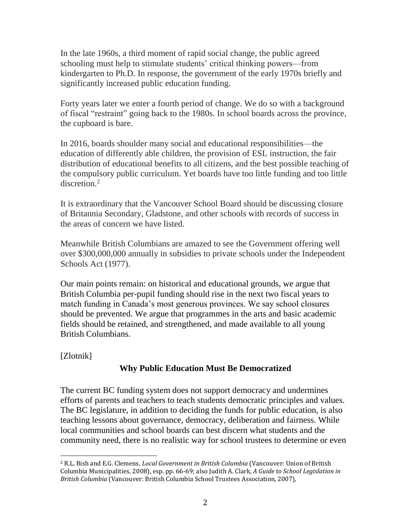In the late 1960s, a third moment of rapid social change, the public agreed schooling must help to stimulate students' critical thinking powers—from kindergarten to Ph.D. In response, the government of the early 1970s briefly and significantly increased public education funding.

Forty years later we enter a fourth period of change. We do so with a background of fiscal "restraint" going back to the 1980s. In school boards across the province, the cupboard is bare.

In 2016, boards shoulder many social and educational responsibilities—the education of differently able children, the provision of ESL instruction, the fair distribution of educational benefits to all citizens, and the best possible teaching of the compulsory public curriculum. Yet boards have too little funding and too little discretion.<sup>2</sup>

It is extraordinary that the Vancouver School Board should be discussing closure of Britannia Secondary, Gladstone, and other schools with records of success in the areas of concern we have listed.

Meanwhile British Columbians are amazed to see the Government offering well over \$300,000,000 annually in subsidies to private schools under the Independent Schools Act (1977).

Our main points remain: on historical and educational grounds, we argue that British Columbia per-pupil funding should rise in the next two fiscal years to match funding in Canada's most generous provinces. We say school closures should be prevented. We argue that programmes in the arts and basic academic fields should be retained, and strengthened, and made available to all young British Columbians.

[Zlotnik]

 $\overline{\phantom{a}}$ 

# **Why Public Education Must Be Democratized**

The current BC funding system does not support democracy and undermines efforts of parents and teachers to teach students democratic principles and values. The BC legislature, in addition to deciding the funds for public education, is also teaching lessons about governance, democracy, deliberation and fairness. While local communities and school boards can best discern what students and the community need, there is no realistic way for school trustees to determine or even

<sup>2</sup> R.L. Bish and E.G. Clemens, *Local Government in British Columbia* (Vancouver: Union of British Columbia Municipalities, 2008), esp. pp. 66-69; also Judith A. Clark, *A Guide to School Legislation in British Columbia* (Vancouver: British Columbia School Trustees Association, 2007),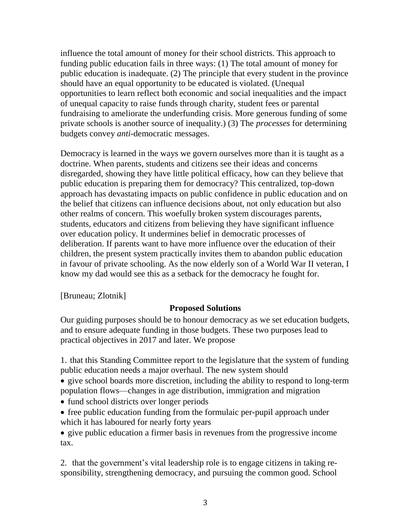influence the total amount of money for their school districts. This approach to funding public education fails in three ways: (1) The total amount of money for public education is inadequate. (2) The principle that every student in the province should have an equal opportunity to be educated is violated. (Unequal opportunities to learn reflect both economic and social inequalities and the impact of unequal capacity to raise funds through charity, student fees or parental fundraising to ameliorate the underfunding crisis. More generous funding of some private schools is another source of inequality.) (3) The *processes* for determining budgets convey *anti*-democratic messages.

Democracy is learned in the ways we govern ourselves more than it is taught as a doctrine. When parents, students and citizens see their ideas and concerns disregarded, showing they have little political efficacy, how can they believe that public education is preparing them for democracy? This centralized, top-down approach has devastating impacts on public confidence in public education and on the belief that citizens can influence decisions about, not only education but also other realms of concern. This woefully broken system discourages parents, students, educators and citizens from believing they have significant influence over education policy. It undermines belief in democratic processes of deliberation. If parents want to have more influence over the education of their children, the present system practically invites them to abandon public education in favour of private schooling. As the now elderly son of a World War II veteran, I know my dad would see this as a setback for the democracy he fought for.

[Bruneau; Zlotnik]

### **Proposed Solutions**

Our guiding purposes should be to honour democracy as we set education budgets, and to ensure adequate funding in those budgets. These two purposes lead to practical objectives in 2017 and later. We propose

1. that this Standing Committee report to the legislature that the system of funding public education needs a major overhaul. The new system should

 give school boards more discretion, including the ability to respond to long-term population flows—changes in age distribution, immigration and migration

- fund school districts over longer periods
- free public education funding from the formulaic per-pupil approach under which it has laboured for nearly forty years

 give public education a firmer basis in revenues from the progressive income tax.

2. that the government's vital leadership role is to engage citizens in taking responsibility, strengthening democracy, and pursuing the common good. School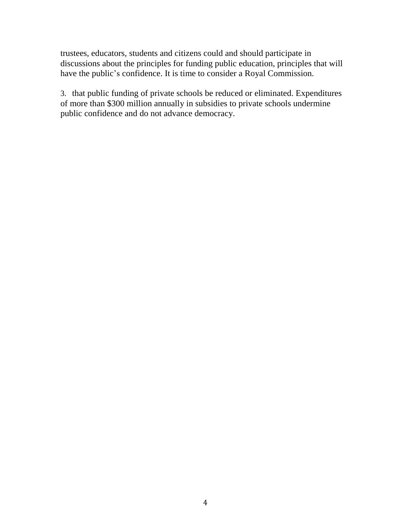trustees, educators, students and citizens could and should participate in discussions about the principles for funding public education, principles that will have the public's confidence. It is time to consider a Royal Commission.

3. that public funding of private schools be reduced or eliminated. Expenditures of more than \$300 million annually in subsidies to private schools undermine public confidence and do not advance democracy.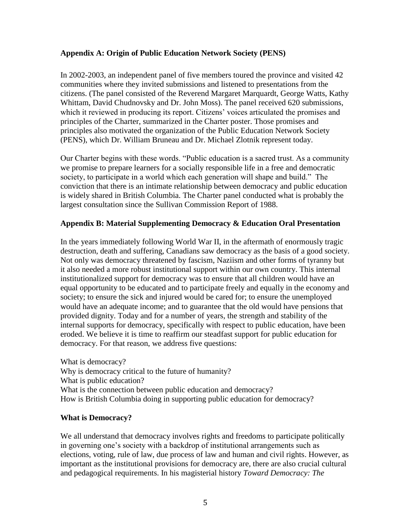#### **Appendix A: Origin of Public Education Network Society (PENS)**

In 2002-2003, an independent panel of five members toured the province and visited 42 communities where they invited submissions and listened to presentations from the citizens. (The panel consisted of the Reverend Margaret Marquardt, George Watts, Kathy Whittam, David Chudnovsky and Dr. John Moss). The panel received 620 submissions, which it reviewed in producing its report. Citizens' voices articulated the promises and principles of the Charter, summarized in the Charter poster. Those promises and principles also motivated the organization of the Public Education Network Society (PENS), which Dr. William Bruneau and Dr. Michael Zlotnik represent today.

Our Charter begins with these words. "Public education is a sacred trust. As a community we promise to prepare learners for a socially responsible life in a free and democratic society, to participate in a world which each generation will shape and build." The conviction that there is an intimate relationship between democracy and public education is widely shared in British Columbia. The Charter panel conducted what is probably the largest consultation since the Sullivan Commission Report of 1988.

#### **Appendix B: Material Supplementing Democracy & Education Oral Presentation**

In the years immediately following World War II, in the aftermath of enormously tragic destruction, death and suffering, Canadians saw democracy as the basis of a good society. Not only was democracy threatened by fascism, Naziism and other forms of tyranny but it also needed a more robust institutional support within our own country. This internal institutionalized support for democracy was to ensure that all children would have an equal opportunity to be educated and to participate freely and equally in the economy and society; to ensure the sick and injured would be cared for; to ensure the unemployed would have an adequate income; and to guarantee that the old would have pensions that provided dignity. Today and for a number of years, the strength and stability of the internal supports for democracy, specifically with respect to public education, have been eroded. We believe it is time to reaffirm our steadfast support for public education for democracy. For that reason, we address five questions:

What is democracy? Why is democracy critical to the future of humanity? What is public education? What is the connection between public education and democracy? How is British Columbia doing in supporting public education for democracy?

#### **What is Democracy?**

We all understand that democracy involves rights and freedoms to participate politically in governing one's society with a backdrop of institutional arrangements such as elections, voting, rule of law, due process of law and human and civil rights. However, as important as the institutional provisions for democracy are, there are also crucial cultural and pedagogical requirements. In his magisterial history *Toward Democracy: The*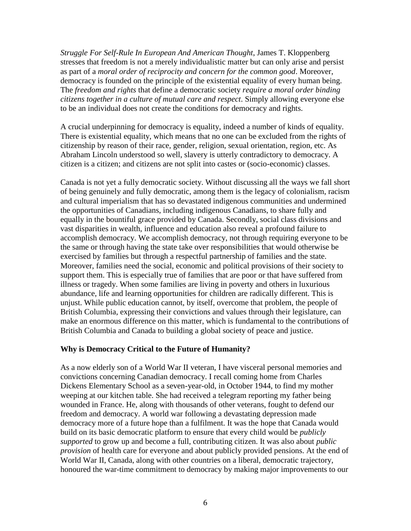*Struggle For Self-Rule In European And American Thought*, James T. Kloppenberg stresses that freedom is not a merely individualistic matter but can only arise and persist as part of a *moral order of reciprocity and concern for the common good*. Moreover, democracy is founded on the principle of the existential equality of every human being. The *freedom and rights* that define a democratic society *require a moral order binding citizens together in a culture of mutual care and respect*. Simply allowing everyone else to be an individual does not create the conditions for democracy and rights.

A crucial underpinning for democracy is equality, indeed a number of kinds of equality. There is existential equality, which means that no one can be excluded from the rights of citizenship by reason of their race, gender, religion, sexual orientation, region, etc. As Abraham Lincoln understood so well, slavery is utterly contradictory to democracy. A citizen is a citizen; and citizens are not split into castes or (socio-economic) classes.

Canada is not yet a fully democratic society. Without discussing all the ways we fall short of being genuinely and fully democratic, among them is the legacy of colonialism, racism and cultural imperialism that has so devastated indigenous communities and undermined the opportunities of Canadians, including indigenous Canadians, to share fully and equally in the bountiful grace provided by Canada. Secondly, social class divisions and vast disparities in wealth, influence and education also reveal a profound failure to accomplish democracy. We accomplish democracy, not through requiring everyone to be the same or through having the state take over responsibilities that would otherwise be exercised by families but through a respectful partnership of families and the state. Moreover, families need the social, economic and political provisions of their society to support them. This is especially true of families that are poor or that have suffered from illness or tragedy. When some families are living in poverty and others in luxurious abundance, life and learning opportunities for children are radically different. This is unjust. While public education cannot, by itself, overcome that problem, the people of British Columbia, expressing their convictions and values through their legislature, can make an enormous difference on this matter, which is fundamental to the contributions of British Columbia and Canada to building a global society of peace and justice.

#### **Why is Democracy Critical to the Future of Humanity?**

As a now elderly son of a World War II veteran, I have visceral personal memories and convictions concerning Canadian democracy. I recall coming home from Charles Dickens Elementary School as a seven-year-old, in October 1944, to find my mother weeping at our kitchen table. She had received a telegram reporting my father being wounded in France. He, along with thousands of other veterans, fought to defend our freedom and democracy. A world war following a devastating depression made democracy more of a future hope than a fulfilment. It was the hope that Canada would build on its basic democratic platform to ensure that every child would be *publicly supported* to grow up and become a full, contributing citizen. It was also about *public provision* of health care for everyone and about publicly provided pensions. At the end of World War II, Canada, along with other countries on a liberal, democratic trajectory, honoured the war-time commitment to democracy by making major improvements to our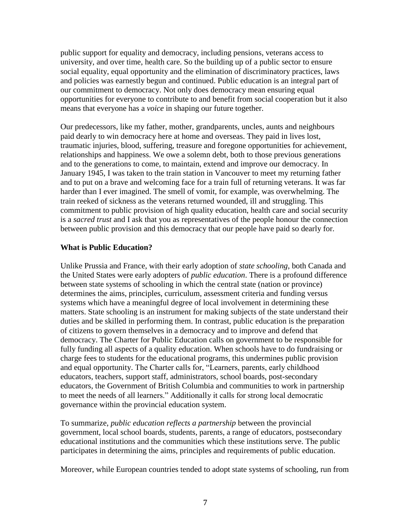public support for equality and democracy, including pensions, veterans access to university, and over time, health care. So the building up of a public sector to ensure social equality, equal opportunity and the elimination of discriminatory practices, laws and policies was earnestly begun and continued. Public education is an integral part of our commitment to democracy. Not only does democracy mean ensuring equal opportunities for everyone to contribute to and benefit from social cooperation but it also means that everyone has a *voice* in shaping our future together.

Our predecessors, like my father, mother, grandparents, uncles, aunts and neighbours paid dearly to win democracy here at home and overseas. They paid in lives lost, traumatic injuries, blood, suffering, treasure and foregone opportunities for achievement, relationships and happiness. We owe a solemn debt, both to those previous generations and to the generations to come, to maintain, extend and improve our democracy. In January 1945, I was taken to the train station in Vancouver to meet my returning father and to put on a brave and welcoming face for a train full of returning veterans. It was far harder than I ever imagined. The smell of vomit, for example, was overwhelming. The train reeked of sickness as the veterans returned wounded, ill and struggling. This commitment to public provision of high quality education, health care and social security is a *sacred trust* and I ask that you as representatives of the people honour the connection between public provision and this democracy that our people have paid so dearly for.

#### **What is Public Education?**

Unlike Prussia and France, with their early adoption of *state schooling*, both Canada and the United States were early adopters of *public education*. There is a profound difference between state systems of schooling in which the central state (nation or province) determines the aims, principles, curriculum, assessment criteria and funding versus systems which have a meaningful degree of local involvement in determining these matters. State schooling is an instrument for making subjects of the state understand their duties and be skilled in performing them. In contrast, public education is the preparation of citizens to govern themselves in a democracy and to improve and defend that democracy. The Charter for Public Education calls on government to be responsible for fully funding all aspects of a quality education. When schools have to do fundraising or charge fees to students for the educational programs, this undermines public provision and equal opportunity. The Charter calls for, "Learners, parents, early childhood educators, teachers, support staff, administrators, school boards, post-secondary educators, the Government of British Columbia and communities to work in partnership to meet the needs of all learners." Additionally it calls for strong local democratic governance within the provincial education system.

To summarize, *public education reflects a partnership* between the provincial government, local school boards, students, parents, a range of educators, postsecondary educational institutions and the communities which these institutions serve. The public participates in determining the aims, principles and requirements of public education.

Moreover, while European countries tended to adopt state systems of schooling, run from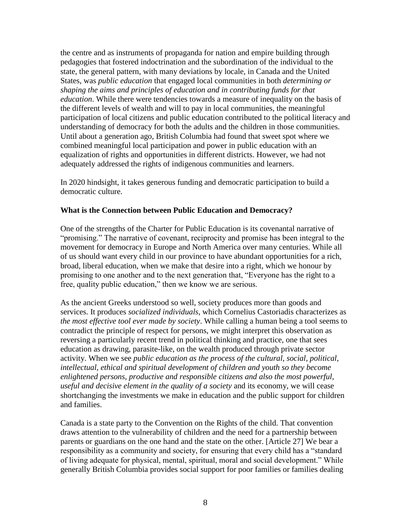the centre and as instruments of propaganda for nation and empire building through pedagogies that fostered indoctrination and the subordination of the individual to the state, the general pattern, with many deviations by locale, in Canada and the United States, was *public education* that engaged local communities in both *determining or shaping the aims and principles of education and in contributing funds for that education*. While there were tendencies towards a measure of inequality on the basis of the different levels of wealth and will to pay in local communities, the meaningful participation of local citizens and public education contributed to the political literacy and understanding of democracy for both the adults and the children in those communities. Until about a generation ago, British Columbia had found that sweet spot where we combined meaningful local participation and power in public education with an equalization of rights and opportunities in different districts. However, we had not adequately addressed the rights of indigenous communities and learners.

In 2020 hindsight, it takes generous funding and democratic participation to build a democratic culture.

#### **What is the Connection between Public Education and Democracy?**

One of the strengths of the Charter for Public Education is its covenantal narrative of "promising." The narrative of covenant, reciprocity and promise has been integral to the movement for democracy in Europe and North America over many centuries. While all of us should want every child in our province to have abundant opportunities for a rich, broad, liberal education, when we make that desire into a right, which we honour by promising to one another and to the next generation that, "Everyone has the right to a free, quality public education," then we know we are serious.

As the ancient Greeks understood so well, society produces more than goods and services. It produces *socialized individuals*, which Cornelius Castoriadis characterizes as *the most effective tool ever made by society*. While calling a human being a tool seems to contradict the principle of respect for persons, we might interpret this observation as reversing a particularly recent trend in political thinking and practice, one that sees education as drawing, parasite-like, on the wealth produced through private sector activity. When we see *public education as the process of the cultural, social, political, intellectual, ethical and spiritual development of children and youth so they become enlightened persons, productive and responsible citizens and also the most powerful, useful and decisive element in the quality of a society* and its economy, we will cease shortchanging the investments we make in education and the public support for children and families.

Canada is a state party to the Convention on the Rights of the child. That convention draws attention to the vulnerability of children and the need for a partnership between parents or guardians on the one hand and the state on the other. [Article 27] We bear a responsibility as a community and society, for ensuring that every child has a "standard of living adequate for physical, mental, spiritual, moral and social development." While generally British Columbia provides social support for poor families or families dealing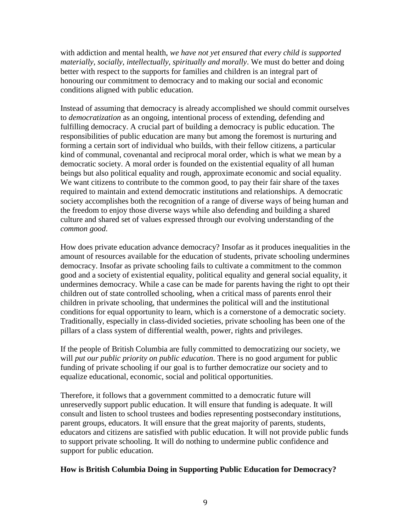with addiction and mental health, *we have not yet ensured that every child is supported materially, socially, intellectually, spiritually and morally*. We must do better and doing better with respect to the supports for families and children is an integral part of honouring our commitment to democracy and to making our social and economic conditions aligned with public education.

Instead of assuming that democracy is already accomplished we should commit ourselves to *democratization* as an ongoing, intentional process of extending, defending and fulfilling democracy. A crucial part of building a democracy is public education. The responsibilities of public education are many but among the foremost is nurturing and forming a certain sort of individual who builds, with their fellow citizens, a particular kind of communal, covenantal and reciprocal moral order, which is what we mean by a democratic society. A moral order is founded on the existential equality of all human beings but also political equality and rough, approximate economic and social equality. We want citizens to contribute to the common good, to pay their fair share of the taxes required to maintain and extend democratic institutions and relationships. A democratic society accomplishes both the recognition of a range of diverse ways of being human and the freedom to enjoy those diverse ways while also defending and building a shared culture and shared set of values expressed through our evolving understanding of the *common good*.

How does private education advance democracy? Insofar as it produces inequalities in the amount of resources available for the education of students, private schooling undermines democracy. Insofar as private schooling fails to cultivate a commitment to the common good and a society of existential equality, political equality and general social equality, it undermines democracy. While a case can be made for parents having the right to opt their children out of state controlled schooling, when a critical mass of parents enrol their children in private schooling, that undermines the political will and the institutional conditions for equal opportunity to learn, which is a cornerstone of a democratic society. Traditionally, especially in class-divided societies, private schooling has been one of the pillars of a class system of differential wealth, power, rights and privileges.

If the people of British Columbia are fully committed to democratizing our society, we will *put our public priority on public education*. There is no good argument for public funding of private schooling if our goal is to further democratize our society and to equalize educational, economic, social and political opportunities.

Therefore, it follows that a government committed to a democratic future will unreservedly support public education. It will ensure that funding is adequate. It will consult and listen to school trustees and bodies representing postsecondary institutions, parent groups, educators. It will ensure that the great majority of parents, students, educators and citizens are satisfied with public education. It will not provide public funds to support private schooling. It will do nothing to undermine public confidence and support for public education.

#### **How is British Columbia Doing in Supporting Public Education for Democracy?**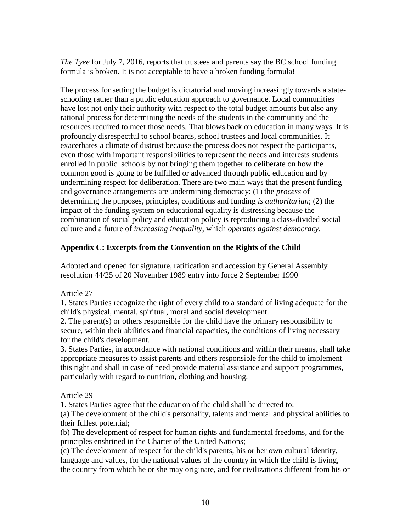*The Tyee* for July 7, 2016, reports that trustees and parents say the BC school funding formula is broken. It is not acceptable to have a broken funding formula!

The process for setting the budget is dictatorial and moving increasingly towards a stateschooling rather than a public education approach to governance. Local communities have lost not only their authority with respect to the total budget amounts but also any rational process for determining the needs of the students in the community and the resources required to meet those needs. That blows back on education in many ways. It is profoundly disrespectful to school boards, school trustees and local communities. It exacerbates a climate of distrust because the process does not respect the participants, even those with important responsibilities to represent the needs and interests students enrolled in public schools by not bringing them together to deliberate on how the common good is going to be fulfilled or advanced through public education and by undermining respect for deliberation. There are two main ways that the present funding and governance arrangements are undermining democracy: (1) the *process* of determining the purposes, principles, conditions and funding *is authoritarian*; (2) the impact of the funding system on educational equality is distressing because the combination of social policy and education policy is reproducing a class-divided social culture and a future of *increasing inequality*, which *operates against democracy*.

#### **Appendix C: Excerpts from the Convention on the Rights of the Child**

Adopted and opened for signature, ratification and accession by General Assembly resolution 44/25 of 20 November 1989 entry into force 2 September 1990

Article 27

1. States Parties recognize the right of every child to a standard of living adequate for the child's physical, mental, spiritual, moral and social development.

2. The parent(s) or others responsible for the child have the primary responsibility to secure, within their abilities and financial capacities, the conditions of living necessary for the child's development.

3. States Parties, in accordance with national conditions and within their means, shall take appropriate measures to assist parents and others responsible for the child to implement this right and shall in case of need provide material assistance and support programmes, particularly with regard to nutrition, clothing and housing.

Article 29

1. States Parties agree that the education of the child shall be directed to:

(a) The development of the child's personality, talents and mental and physical abilities to their fullest potential;

(b) The development of respect for human rights and fundamental freedoms, and for the principles enshrined in the Charter of the United Nations;

(c) The development of respect for the child's parents, his or her own cultural identity, language and values, for the national values of the country in which the child is living, the country from which he or she may originate, and for civilizations different from his or